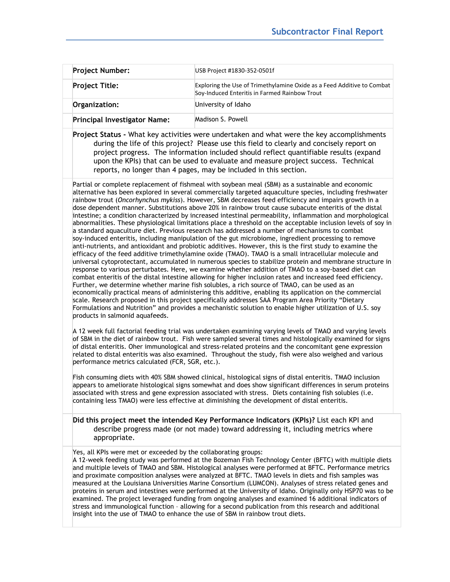|  | <b>Project Number:</b>              | USB Project #1830-352-0501f                                                                                             |
|--|-------------------------------------|-------------------------------------------------------------------------------------------------------------------------|
|  | <b>Project Title:</b>               | Exploring the Use of Trimethylamine Oxide as a Feed Additive to Combat<br>Soy-Induced Enteritis in Farmed Rainbow Trout |
|  | Organization:                       | University of Idaho                                                                                                     |
|  | <b>Principal Investigator Name:</b> | Madison S. Powell                                                                                                       |

**Project Status -** What key activities were undertaken and what were the key accomplishments during the life of this project? Please use this field to clearly and concisely report on project progress. The information included should reflect quantifiable results (expand upon the KPIs) that can be used to evaluate and measure project success. Technical reports, no longer than 4 pages, may be included in this section.

Partial or complete replacement of fishmeal with soybean meal (SBM) as a sustainable and economic alternative has been explored in several commercially targeted aquaculture species, including freshwater rainbow trout (*Oncorhynchus mykiss*). However, SBM decreases feed efficiency and impairs growth in a dose dependent manner. Substitutions above 20% in rainbow trout cause subacute enteritis of the distal intestine; a condition characterized by increased intestinal permeability, inflammation and morphological abnormalities. These physiological limitations place a threshold on the acceptable inclusion levels of soy in a standard aquaculture diet. Previous research has addressed a number of mechanisms to combat soy-induced enteritis, including manipulation of the gut microbiome, ingredient processing to remove anti-nutrients, and antioxidant and probiotic additives. However, this is the first study to examine the efficacy of the feed additive trimethylamine oxide (TMAO). TMAO is a small intracellular molecule and universal cytoprotectant, accumulated in numerous species to stabilize protein and membrane structure in response to various perturbates. Here, we examine whether addition of TMAO to a soy-based diet can combat enteritis of the distal intestine allowing for higher inclusion rates and increased feed efficiency. Further, we determine whether marine fish solubles, a rich source of TMAO, can be used as an economically practical means of administering this additive, enabling its application on the commercial scale. Research proposed in this project specifically addresses SAA Program Area Priority "Dietary Formulations and Nutrition" and provides a mechanistic solution to enable higher utilization of U.S. soy products in salmonid aquafeeds.

A 12 week full factorial feeding trial was undertaken examining varying levels of TMAO and varying levels of SBM in the diet of rainbow trout. Fish were sampled several times and histologically examined for signs of distal enteritis. Oher immunological and stress-related proteins and the concomitant gene expression related to distal enteritis was also examined. Throughout the study, fish were also weighed and various performance metrics calculated (FCR, SGR, etc.).

Fish consuming diets with 40% SBM showed clinical, histological signs of distal enteritis. TMAO inclusion appears to ameliorate histological signs somewhat and does show significant differences in serum proteins associated with stress and gene expression associated with stress. Diets containing fish solubles (i.e. containing less TMAO) were less effective at diminishing the development of distal enteritis.

**Did this project meet the intended Key Performance Indicators (KPIs)?** List each KPI and describe progress made (or not made) toward addressing it, including metrics where appropriate.

Yes, all KPIs were met or exceeded by the collaborating groups:

A 12-week feeding study was performed at the Bozeman Fish Technology Center (BFTC) with multiple diets and multiple levels of TMAO and SBM. Histological analyses were performed at BFTC. Performance metrics and proximate composition analyses were analyzed at BFTC. TMAO levels in diets and fish samples was measured at the Louisiana Universities Marine Consortium (LUMCON). Analyses of stress related genes and proteins in serum and intestines were performed at the University of Idaho. Originally only HSP70 was to be examined. The project leveraged funding from ongoing analyses and examined 16 additional indicators of stress and immunological function – allowing for a second publication from this research and additional insight into the use of TMAO to enhance the use of SBM in rainbow trout diets.